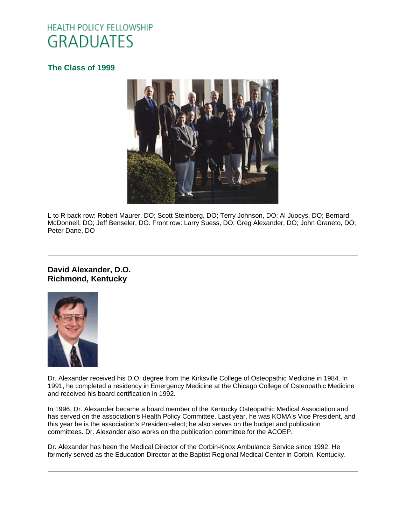# **HEALTH POLICY FELLOWSHIP GRADUATES**

# **[The Class of 1999](http://www.oucom.ohiou.edu/hpf/Graduates2012.htm)**



L to R back row: Robert Maurer, DO; Scott Steinberg, DO; Terry Johnson, DO; Al Juocys, DO; Bernard McDonnell, DO; Jeff Benseler, DO. Front row: Larry Suess, DO; Greg Alexander, DO; John Graneto, DO; Peter Dane, DO

#### **David Alexander, D.O. Richmond, Kentucky**



Dr. Alexander received his D.O. degree from the Kirksville College of Osteopathic Medicine in 1984. In 1991, he completed a residency in Emergency Medicine at the Chicago College of Osteopathic Medicine and received his board certification in 1992.

In 1996, Dr. Alexander became a board member of the Kentucky Osteopathic Medical Association and has served on the association's Health Policy Committee. Last year, he was KOMA's Vice President, and this year he is the association's President-elect; he also serves on the budget and publication committees. Dr. Alexander also works on the publication committee for the ACOEP.

Dr. Alexander has been the Medical Director of the Corbin-Knox Ambulance Service since 1992. He formerly served as the Education Director at the Baptist Regional Medical Center in Corbin, Kentucky.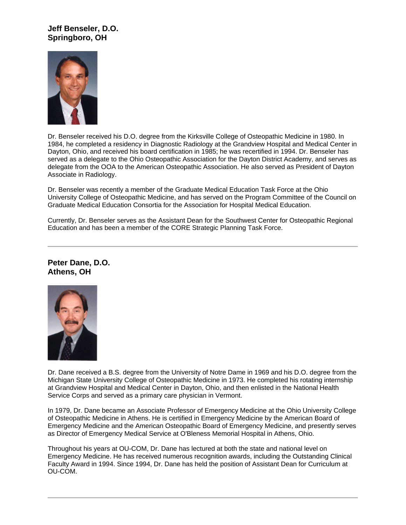# **Jeff Benseler, D.O. Springboro, OH**



Dr. Benseler received his D.O. degree from the Kirksville College of Osteopathic Medicine in 1980. In 1984, he completed a residency in Diagnostic Radiology at the Grandview Hospital and Medical Center in Dayton, Ohio, and received his board certification in 1985; he was recertified in 1994. Dr. Benseler has served as a delegate to the Ohio Osteopathic Association for the Dayton District Academy, and serves as delegate from the OOA to the American Osteopathic Association. He also served as President of Dayton Associate in Radiology.

Dr. Benseler was recently a member of the Graduate Medical Education Task Force at the Ohio University College of Osteopathic Medicine, and has served on the Program Committee of the Council on Graduate Medical Education Consortia for the Association for Hospital Medical Education.

Currently, Dr. Benseler serves as the Assistant Dean for the Southwest Center for Osteopathic Regional Education and has been a member of the CORE Strategic Planning Task Force.

#### **Peter Dane, D.O. Athens, OH**



Dr. Dane received a B.S. degree from the University of Notre Dame in 1969 and his D.O. degree from the Michigan State University College of Osteopathic Medicine in 1973. He completed his rotating internship at Grandview Hospital and Medical Center in Dayton, Ohio, and then enlisted in the National Health Service Corps and served as a primary care physician in Vermont.

In 1979, Dr. Dane became an Associate Professor of Emergency Medicine at the Ohio University College of Osteopathic Medicine in Athens. He is certified in Emergency Medicine by the American Board of Emergency Medicine and the American Osteopathic Board of Emergency Medicine, and presently serves as Director of Emergency Medical Service at O'Bleness Memorial Hospital in Athens, Ohio.

Throughout his years at OU-COM, Dr. Dane has lectured at both the state and national level on Emergency Medicine. He has received numerous recognition awards, including the Outstanding Clinical Faculty Award in 1994. Since 1994, Dr. Dane has held the position of Assistant Dean for Curriculum at OU-COM.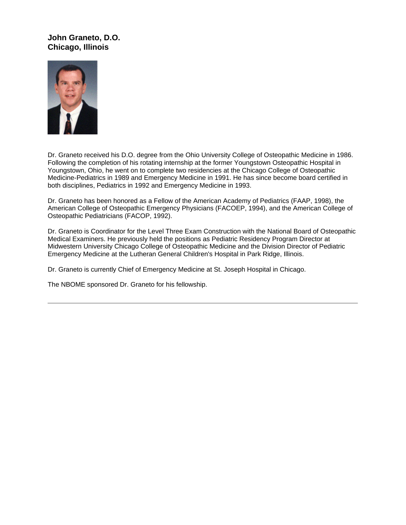# **John Graneto, D.O. Chicago, Illinois**



Dr. Graneto received his D.O. degree from the Ohio University College of Osteopathic Medicine in 1986. Following the completion of his rotating internship at the former Youngstown Osteopathic Hospital in Youngstown, Ohio, he went on to complete two residencies at the Chicago College of Osteopathic Medicine-Pediatrics in 1989 and Emergency Medicine in 1991. He has since become board certified in both disciplines, Pediatrics in 1992 and Emergency Medicine in 1993.

Dr. Graneto has been honored as a Fellow of the American Academy of Pediatrics (FAAP, 1998), the American College of Osteopathic Emergency Physicians (FACOEP, 1994), and the American College of Osteopathic Pediatricians (FACOP, 1992).

Dr. Graneto is Coordinator for the Level Three Exam Construction with the National Board of Osteopathic Medical Examiners. He previously held the positions as Pediatric Residency Program Director at Midwestern University Chicago College of Osteopathic Medicine and the Division Director of Pediatric Emergency Medicine at the Lutheran General Children's Hospital in Park Ridge, Illinois.

Dr. Graneto is currently Chief of Emergency Medicine at St. Joseph Hospital in Chicago.

The NBOME sponsored Dr. Graneto for his fellowship.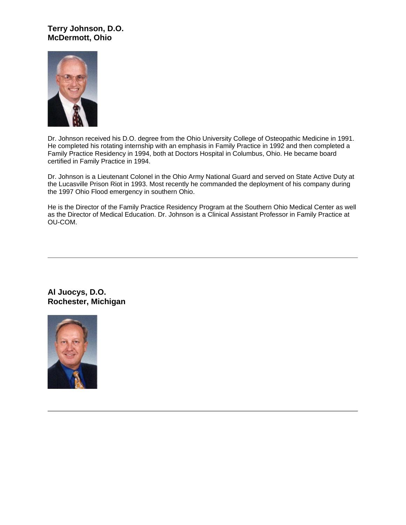# **Terry Johnson, D.O. McDermott, Ohio**



Dr. Johnson received his D.O. degree from the Ohio University College of Osteopathic Medicine in 1991. He completed his rotating internship with an emphasis in Family Practice in 1992 and then completed a Family Practice Residency in 1994, both at Doctors Hospital in Columbus, Ohio. He became board certified in Family Practice in 1994.

Dr. Johnson is a Lieutenant Colonel in the Ohio Army National Guard and served on State Active Duty at the Lucasville Prison Riot in 1993. Most recently he commanded the deployment of his company during the 1997 Ohio Flood emergency in southern Ohio.

He is the Director of the Family Practice Residency Program at the Southern Ohio Medical Center as well as the Director of Medical Education. Dr. Johnson is a Clinical Assistant Professor in Family Practice at OU-COM.

**Al Juocys, D.O. Rochester, Michigan**

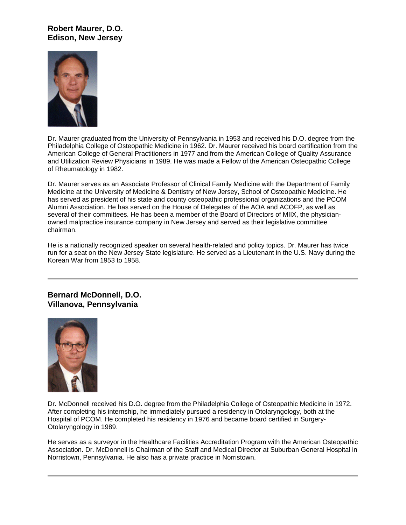# **Robert Maurer, D.O. Edison, New Jersey**



Dr. Maurer graduated from the University of Pennsylvania in 1953 and received his D.O. degree from the Philadelphia College of Osteopathic Medicine in 1962. Dr. Maurer received his board certification from the American College of General Practitioners in 1977 and from the American College of Quality Assurance and Utilization Review Physicians in 1989. He was made a Fellow of the American Osteopathic College of Rheumatology in 1982.

Dr. Maurer serves as an Associate Professor of Clinical Family Medicine with the Department of Family Medicine at the University of Medicine & Dentistry of New Jersey, School of Osteopathic Medicine. He has served as president of his state and county osteopathic professional organizations and the PCOM Alumni Association. He has served on the House of Delegates of the AOA and ACOFP, as well as several of their committees. He has been a member of the Board of Directors of MIIX, the physicianowned malpractice insurance company in New Jersey and served as their legislative committee chairman.

He is a nationally recognized speaker on several health-related and policy topics. Dr. Maurer has twice run for a seat on the New Jersey State legislature. He served as a Lieutenant in the U.S. Navy during the Korean War from 1953 to 1958.

**Bernard McDonnell, D.O. Villanova, Pennsylvania**



Dr. McDonnell received his D.O. degree from the Philadelphia College of Osteopathic Medicine in 1972. After completing his internship, he immediately pursued a residency in Otolaryngology, both at the Hospital of PCOM. He completed his residency in 1976 and became board certified in Surgery-Otolaryngology in 1989.

He serves as a surveyor in the Healthcare Facilities Accreditation Program with the American Osteopathic Association. Dr. McDonnell is Chairman of the Staff and Medical Director at Suburban General Hospital in Norristown, Pennsylvania. He also has a private practice in Norristown.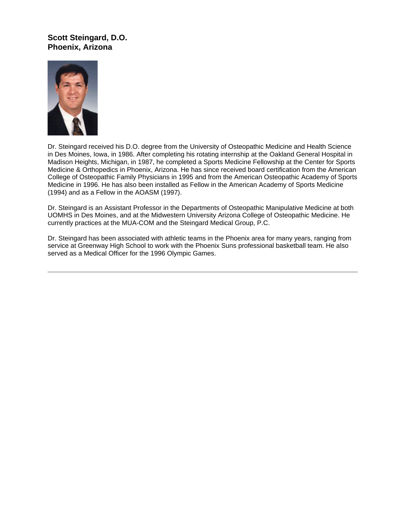## **Scott Steingard, D.O. Phoenix, Arizona**



Dr. Steingard received his D.O. degree from the University of Osteopathic Medicine and Health Science in Des Moines, Iowa, in 1986. After completing his rotating internship at the Oakland General Hospital in Madison Heights, Michigan, in 1987, he completed a Sports Medicine Fellowship at the Center for Sports Medicine & Orthopedics in Phoenix, Arizona. He has since received board certification from the American College of Osteopathic Family Physicians in 1995 and from the American Osteopathic Academy of Sports Medicine in 1996. He has also been installed as Fellow in the American Academy of Sports Medicine (1994) and as a Fellow in the AOASM (1997).

Dr. Steingard is an Assistant Professor in the Departments of Osteopathic Manipulative Medicine at both UOMHS in Des Moines, and at the Midwestern University Arizona College of Osteopathic Medicine. He currently practices at the MUA-COM and the Steingard Medical Group, P.C.

Dr. Steingard has been associated with athletic teams in the Phoenix area for many years, ranging from service at Greenway High School to work with the Phoenix Suns professional basketball team. He also served as a Medical Officer for the 1996 Olympic Games.